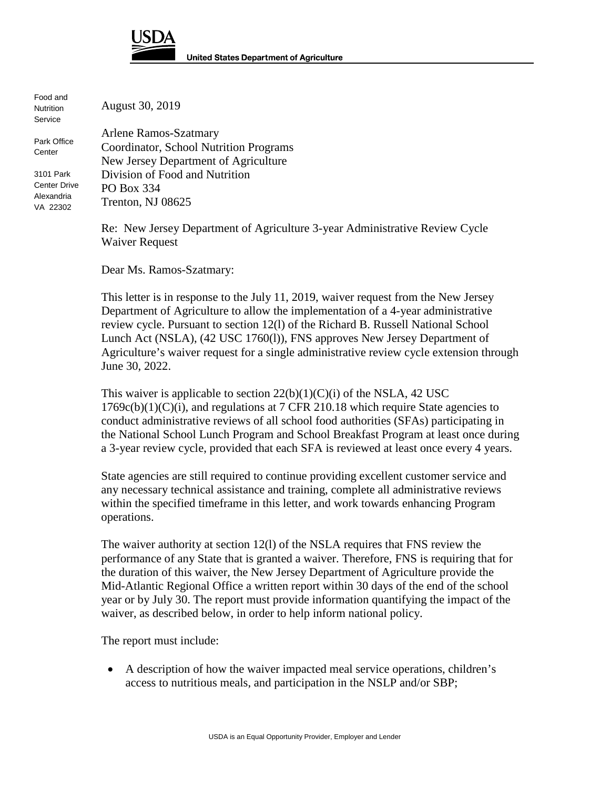

Food and **Nutrition Service** 

**Center** 

August 30, 2019

Arlene Ramos-Szatmary Coordinator, School Nutrition Programs New Jersey Department of Agriculture Division of Food and Nutrition PO Box 334 Trenton, NJ 08625 Park Office 3101 Park Center Drive Alexandria VA 22302

> Re: New Jersey Department of Agriculture 3-year Administrative Review Cycle Waiver Request

Dear Ms. Ramos-Szatmary:

This letter is in response to the July 11, 2019, waiver request from the New Jersey Department of Agriculture to allow the implementation of a 4-year administrative review cycle. Pursuant to section 12(l) of the Richard B. Russell National School Lunch Act (NSLA), (42 USC 1760(l)), FNS approves New Jersey Department of Agriculture's waiver request for a single administrative review cycle extension through June 30, 2022.

This waiver is applicable to section  $22(b)(1)(C)(i)$  of the NSLA, 42 USC  $1769c(b)(1)(C)(i)$ , and regulations at 7 CFR 210.18 which require State agencies to conduct administrative reviews of all school food authorities (SFAs) participating in the National School Lunch Program and School Breakfast Program at least once during a 3-year review cycle, provided that each SFA is reviewed at least once every 4 years.

State agencies are still required to continue providing excellent customer service and any necessary technical assistance and training, complete all administrative reviews within the specified timeframe in this letter, and work towards enhancing Program operations.

The waiver authority at section 12(l) of the NSLA requires that FNS review the performance of any State that is granted a waiver. Therefore, FNS is requiring that for the duration of this waiver, the New Jersey Department of Agriculture provide the Mid-Atlantic Regional Office a written report within 30 days of the end of the school year or by July 30. The report must provide information quantifying the impact of the waiver, as described below, in order to help inform national policy.

The report must include:

• A description of how the waiver impacted meal service operations, children's access to nutritious meals, and participation in the NSLP and/or SBP;